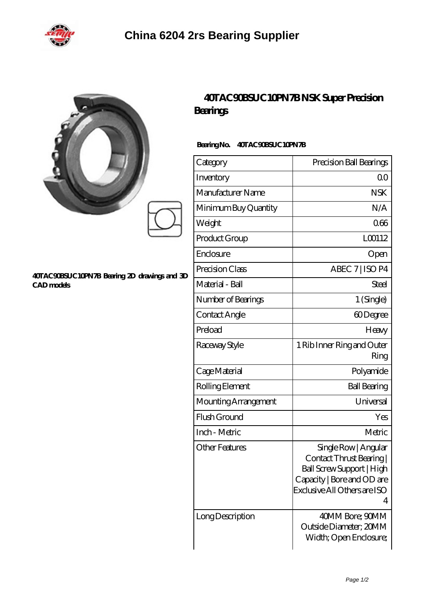

|                                                                   | 40TAC90BSUC10PN7BNSK SuperPrecision<br>Bearings<br>BearingNo.<br>40TAC90BSUC10PN7B |                                                                                                                                                |
|-------------------------------------------------------------------|------------------------------------------------------------------------------------|------------------------------------------------------------------------------------------------------------------------------------------------|
|                                                                   | Category                                                                           | Precision Ball Bearings                                                                                                                        |
|                                                                   | Inventory                                                                          | 0 <sup>0</sup>                                                                                                                                 |
|                                                                   | Manufacturer Name                                                                  | <b>NSK</b>                                                                                                                                     |
|                                                                   | Minimum Buy Quantity                                                               | N/A                                                                                                                                            |
|                                                                   | Weight                                                                             | 066                                                                                                                                            |
|                                                                   | Product Group                                                                      | LO0112                                                                                                                                         |
|                                                                   | Enclosure                                                                          | Open                                                                                                                                           |
|                                                                   | Precision Class                                                                    | ABEC 7   ISO P4                                                                                                                                |
| 40TAC90BSUC10PN7B Bearing 2D drawings and 3D<br><b>CAD</b> models | Material - Ball                                                                    | <b>Steel</b>                                                                                                                                   |
|                                                                   | Number of Bearings                                                                 | 1 (Single)                                                                                                                                     |
|                                                                   | Contact Angle                                                                      | 60Degree                                                                                                                                       |
|                                                                   | Preload                                                                            | Heavy                                                                                                                                          |
|                                                                   | Raceway Style                                                                      | 1 Rib Inner Ring and Outer<br>Ring                                                                                                             |
|                                                                   | Cage Material                                                                      | Polyamide                                                                                                                                      |
|                                                                   | Rolling Element                                                                    | <b>Ball Bearing</b>                                                                                                                            |
|                                                                   | Mounting Arrangement                                                               | Universal                                                                                                                                      |
|                                                                   | Flush Ground                                                                       | Yes                                                                                                                                            |
|                                                                   | Inch - Metric                                                                      | Metric                                                                                                                                         |
|                                                                   | <b>Other Features</b>                                                              | Single Row   Angular<br>Contact Thrust Bearing<br>Ball Screw Support   High<br>Capacity   Bore and OD are<br>Exclusive All Others are ISO<br>4 |
|                                                                   | Long Description                                                                   | 40MM Bore; 90MM<br>Outside Diameter: 20MM                                                                                                      |

Width; Open Enclosure;